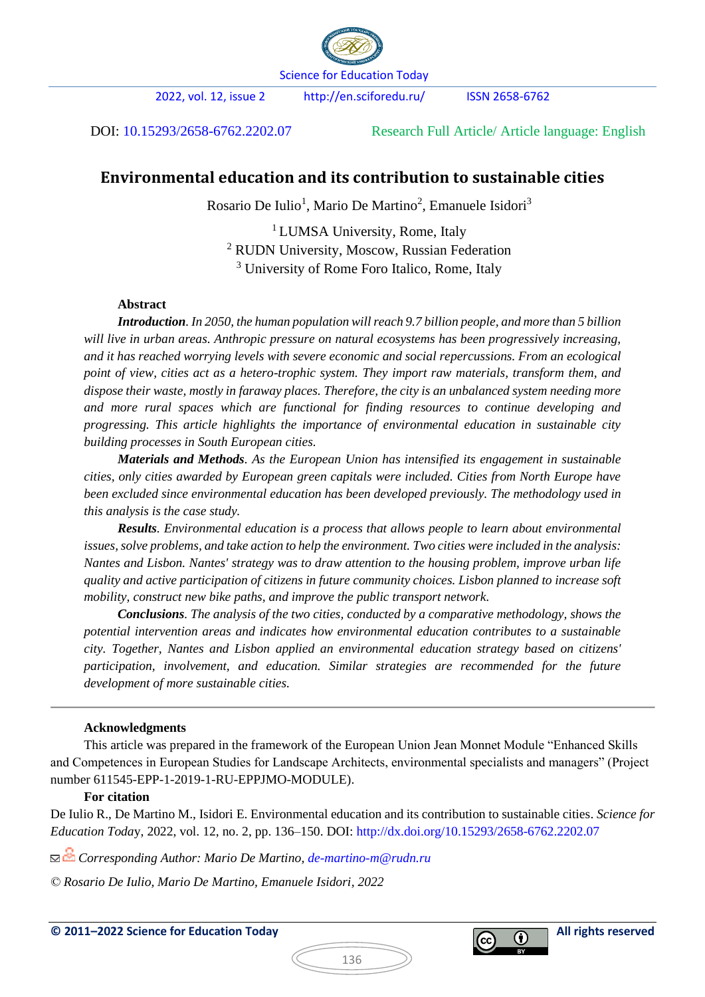

DOI: [10.15293/2658-6762.2202.07](http://en.sciforedu.ru/article/5381) Research Full Article/ Article language: English

# **Environmental education and its contribution to sustainable cities**

Rosario De Iulio<sup>1</sup>, Mario De Martino<sup>2</sup>, Emanuele Isidori<sup>3</sup>

<sup>1</sup> LUMSA University, Rome, Italy <sup>2</sup> RUDN University, Moscow, Russian Federation <sup>3</sup> University of Rome Foro Italico, Rome, Italy

## **Abstract**

*Introduction. In 2050, the human population will reach 9.7 billion people, and more than 5 billion will live in urban areas. Anthropic pressure on natural ecosystems has been progressively increasing, and it has reached worrying levels with severe economic and social repercussions. From an ecological point of view, cities act as a hetero-trophic system. They import raw materials, transform them, and dispose their waste, mostly in faraway places. Therefore, the city is an unbalanced system needing more and more rural spaces which are functional for finding resources to continue developing and progressing. This article highlights the importance of environmental education in sustainable city building processes in South European cities.*

*Materials and Methods. As the European Union has intensified its engagement in sustainable cities, only cities awarded by European green capitals were included. Cities from North Europe have been excluded since environmental education has been developed previously. The methodology used in this analysis is the case study.*

*Results. Environmental education is a process that allows people to learn about environmental issues, solve problems, and take action to help the environment. Two cities were included in the analysis: Nantes and Lisbon. Nantes' strategy was to draw attention to the housing problem, improve urban life quality and active participation of citizens in future community choices. Lisbon planned to increase soft mobility, construct new bike paths, and improve the public transport network.*

*Conclusions. The analysis of the two cities, conducted by a comparative methodology, shows the potential intervention areas and indicates how environmental education contributes to a sustainable city. Together, Nantes and Lisbon applied an environmental education strategy based on citizens' participation, involvement, and education. Similar strategies are recommended for the future development of more sustainable cities.*

# **Acknowledgments**

This article was prepared in the framework of the European Union Jean Monnet Module "Enhanced Skills and Competences in European Studies for Landscape Architects, environmental specialists and managers" (Project number 611545-EPP-1-2019-1-RU-EPPJMO-MODULE).

## **For citation**

De Iulio R., De Martino M., Isidori E. Environmental education and its contribution to sustainable cities. *Science for Education Toda*y, 2022, vol. 12, no. 2, pp. 136–150. DOI: [http://dx.doi.org/10.15293/2658-6762.2202.07](http://en.sciforedu.ru/article/5381)

136

*Corresponding Author: Mario De Martino, [de-martino-m@rudn.ru](mailto:de-martino-m@rudn.ru)*

*© Rosario De Iulio, Mario De Martino, Emanuele Isidori, 2022*

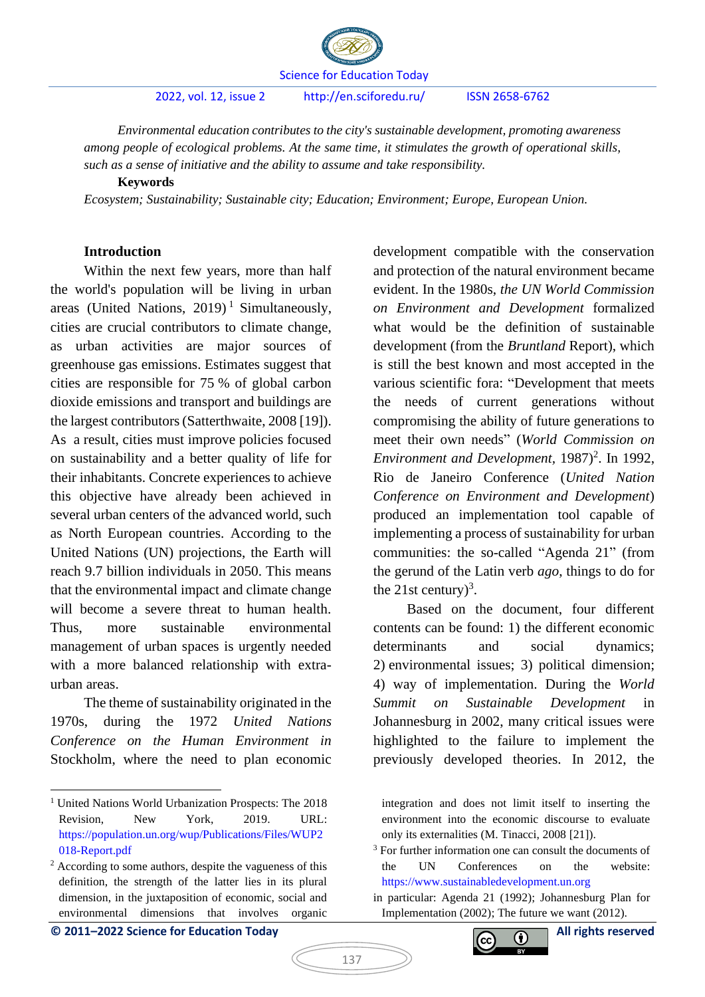

*Environmental education contributes to the city's sustainable development, promoting awareness among people of ecological problems. At the same time, it stimulates the growth of operational skills, such as a sense of initiative and the ability to assume and take responsibility.*

#### **Keywords**

*Ecosystem; Sustainability; Sustainable city; Education; Environment; Europe, European Union.*

## **Introduction**

Within the next few years, more than half the world's population will be living in urban areas (United Nations,  $2019$ )<sup>1</sup> Simultaneously, cities are crucial contributors to climate change, as urban activities are major sources of greenhouse gas emissions. Estimates suggest that cities are responsible for 75 % of global carbon dioxide emissions and transport and buildings are the largest contributors (Satterthwaite, 2008 [19]). As a result, cities must improve policies focused on sustainability and a better quality of life for their inhabitants. Concrete experiences to achieve this objective have already been achieved in several urban centers of the advanced world, such as North European countries. According to the United Nations (UN) projections, the Earth will reach 9.7 billion individuals in 2050. This means that the environmental impact and climate change will become a severe threat to human health. Thus, more sustainable environmental management of urban spaces is urgently needed with a more balanced relationship with extraurban areas.

The theme of sustainability originated in the 1970s, during the 1972 *United Nations Conference on the Human Environment in*  Stockholm, where the need to plan economic

**© 2011–2022 Science for Education Today All rights reserved**

development compatible with the conservation and protection of the natural environment became evident. In the 1980s, *the UN World Commission on Environment and Development* formalized what would be the definition of sustainable development (from the *Bruntland* Report), which is still the best known and most accepted in the various scientific fora: "Development that meets the needs of current generations without compromising the ability of future generations to meet their own needs" (*World Commission on Environment and Development,* 1987)<sup>2</sup>. In 1992, Rio de Janeiro Conference (*United Nation Conference on Environment and Development*) produced an implementation tool capable of implementing a process of sustainability for urban communities: the so-called "Agenda 21" (from the gerund of the Latin verb *ago*, things to do for the 21st century)<sup>3</sup>.

Based on the document, four different contents can be found: 1) the different economic determinants and social dynamics; 2) environmental issues; 3) political dimension; 4) way of implementation. During the *World Summit on Sustainable Development* in Johannesburg in 2002, many critical issues were highlighted to the failure to implement the previously developed theories. In 2012, the

integration and does not limit itself to inserting the environment into the economic discourse to evaluate only its externalities (M. Tinacci, 2008 [21]).

 $3$  For further information one can consult the documents of the UN Conferences on the website: [https://www.sustainabledevelopment.un.org](https://www.sustainabledevelopment.un.org/) 

in particular: Agenda 21 (1992); Johannesburg Plan for Implementation (2002); The future we want (2012).





<sup>&</sup>lt;sup>1</sup> United Nations World Urbanization Prospects: The 2018 Revision, New York, 2019. URL: [https://population.un.org/wup/Publications/Files/WUP2](https://population.un.org/wup/Publications/Files/WUP2018-Report.pdf) [018-Report.pdf](https://population.un.org/wup/Publications/Files/WUP2018-Report.pdf)

<sup>2</sup> According to some authors, despite the vagueness of this definition, the strength of the latter lies in its plural dimension, in the juxtaposition of economic, social and environmental dimensions that involves organic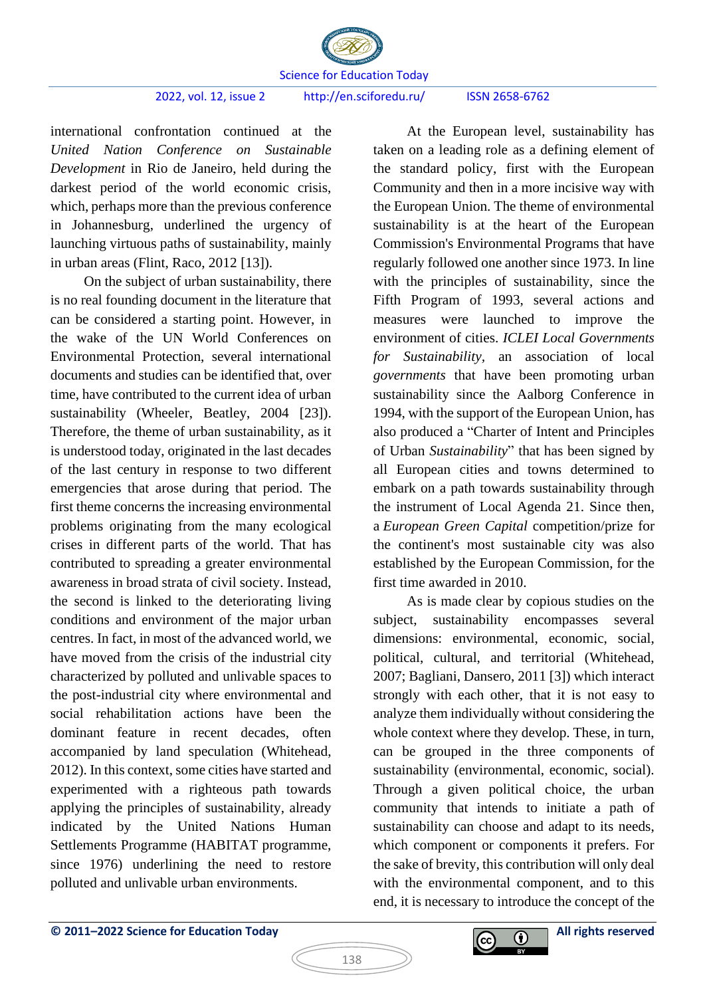

international confrontation continued at the *United Nation Conference on Sustainable Development* in Rio de Janeiro, held during the darkest period of the world economic crisis, which, perhaps more than the previous conference in Johannesburg, underlined the urgency of launching virtuous paths of sustainability, mainly in urban areas (Flint, Raco, 2012 [13]).

On the subject of urban sustainability, there is no real founding document in the literature that can be considered a starting point. However, in the wake of the UN World Conferences on Environmental Protection, several international documents and studies can be identified that, over time, have contributed to the current idea of urban sustainability (Wheeler, Beatley, 2004 [23]). Therefore, the theme of urban sustainability, as it is understood today, originated in the last decades of the last century in response to two different emergencies that arose during that period. The first theme concerns the increasing environmental problems originating from the many ecological crises in different parts of the world. That has contributed to spreading a greater environmental awareness in broad strata of civil society. Instead, the second is linked to the deteriorating living conditions and environment of the major urban centres. In fact, in most of the advanced world, we have moved from the crisis of the industrial city characterized by polluted and unlivable spaces to the post-industrial city where environmental and social rehabilitation actions have been the dominant feature in recent decades, often accompanied by land speculation (Whitehead, 2012). In this context, some cities have started and experimented with a righteous path towards applying the principles of sustainability, already indicated by the United Nations Human Settlements Programme (HABITAT programme, since 1976) underlining the need to restore polluted and unlivable urban environments.

At the European level, sustainability has taken on a leading role as a defining element of the standard policy, first with the European Community and then in a more incisive way with the European Union. The theme of environmental sustainability is at the heart of the European Commission's Environmental Programs that have regularly followed one another since 1973. In line with the principles of sustainability, since the Fifth Program of 1993, several actions and measures were launched to improve the environment of cities. *ICLEI Local Governments for Sustainability,* an association of local *governments* that have been promoting urban sustainability since the Aalborg Conference in 1994, with the support of the European Union, has also produced a "Charter of Intent and Principles of Urban *Sustainability*" that has been signed by all European cities and towns determined to embark on a path towards sustainability through the instrument of Local Agenda 21. Since then, a *European Green Capital* competition/prize for the continent's most sustainable city was also established by the European Commission, for the first time awarded in 2010.

As is made clear by copious studies on the subject, sustainability encompasses several dimensions: environmental, economic, social, political, cultural, and territorial (Whitehead, 2007; Bagliani, Dansero, 2011 [3]) which interact strongly with each other, that it is not easy to analyze them individually without considering the whole context where they develop. These, in turn, can be grouped in the three components of sustainability (environmental, economic, social). Through a given political choice, the urban community that intends to initiate a path of sustainability can choose and adapt to its needs, which component or components it prefers. For the sake of brevity, this contribution will only deal with the environmental component, and to this end, it is necessary to introduce the concept of the

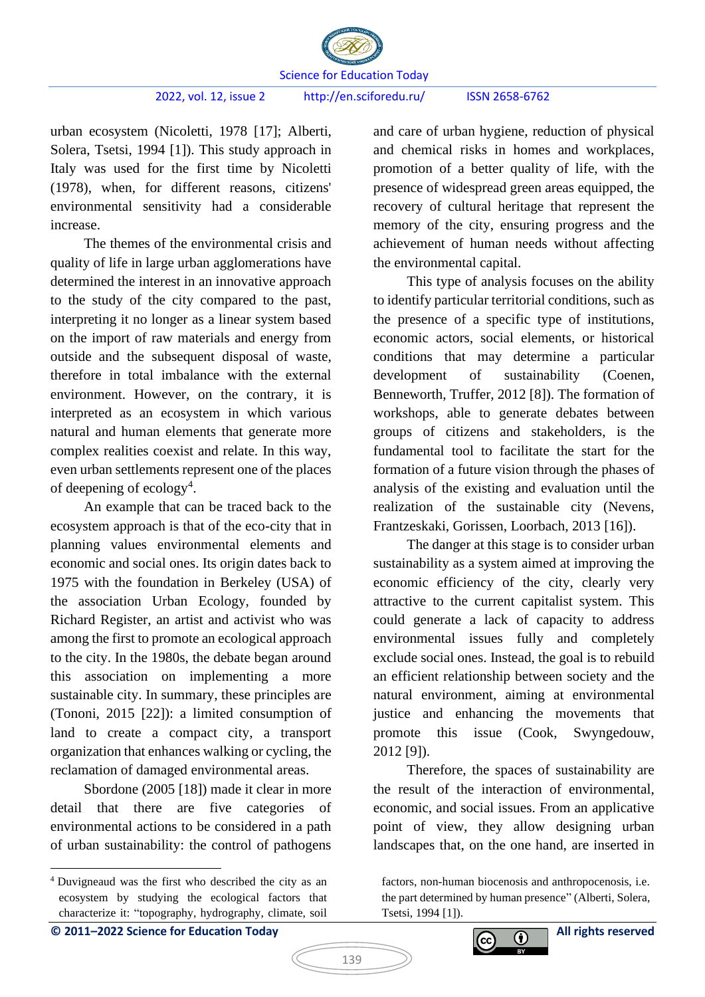

urban ecosystem (Nicoletti, 1978 [17]; Alberti, Solera, Tsetsi, 1994 [1]). This study approach in Italy was used for the first time by Nicoletti (1978), when, for different reasons, citizens' environmental sensitivity had a considerable increase.

The themes of the environmental crisis and quality of life in large urban agglomerations have determined the interest in an innovative approach to the study of the city compared to the past, interpreting it no longer as a linear system based on the import of raw materials and energy from outside and the subsequent disposal of waste, therefore in total imbalance with the external environment. However, on the contrary, it is interpreted as an ecosystem in which various natural and human elements that generate more complex realities coexist and relate. In this way, even urban settlements represent one of the places of deepening of ecology<sup>4</sup>.

An example that can be traced back to the ecosystem approach is that of the eco-city that in planning values environmental elements and economic and social ones. Its origin dates back to 1975 with the foundation in Berkeley (USA) of the association Urban Ecology, founded by Richard Register, an artist and activist who was among the first to promote an ecological approach to the city. In the 1980s, the debate began around this association on implementing a more sustainable city. In summary, these principles are (Tononi, 2015 [22]): a limited consumption of land to create a compact city, a transport organization that enhances walking or cycling, the reclamation of damaged environmental areas.

Sbordone (2005 [18]) made it clear in more detail that there are five categories of environmental actions to be considered in a path of urban sustainability: the control of pathogens

and care of urban hygiene, reduction of physical and chemical risks in homes and workplaces, promotion of a better quality of life, with the presence of widespread green areas equipped, the recovery of cultural heritage that represent the memory of the city, ensuring progress and the achievement of human needs without affecting the environmental capital.

This type of analysis focuses on the ability to identify particular territorial conditions, such as the presence of a specific type of institutions, economic actors, social elements, or historical conditions that may determine a particular development of sustainability (Coenen, Benneworth, Truffer, 2012 [8]). The formation of workshops, able to generate debates between groups of citizens and stakeholders, is the fundamental tool to facilitate the start for the formation of a future vision through the phases of analysis of the existing and evaluation until the realization of the sustainable city (Nevens, Frantzeskaki, Gorissen, Loorbach, 2013 [16]).

The danger at this stage is to consider urban sustainability as a system aimed at improving the economic efficiency of the city, clearly very attractive to the current capitalist system. This could generate a lack of capacity to address environmental issues fully and completely exclude social ones. Instead, the goal is to rebuild an efficient relationship between society and the natural environment, aiming at environmental justice and enhancing the movements that promote this issue (Cook, Swyngedouw, 2012 [9]).

Therefore, the spaces of sustainability are the result of the interaction of environmental, economic, and social issues. From an applicative point of view, they allow designing urban landscapes that, on the one hand, are inserted in



<sup>4</sup> Duvigneaud was the first who described the city as an ecosystem by studying the ecological factors that characterize it: "topography, hydrography, climate, soil

factors, non-human biocenosis and anthropocenosis, i.e. the part determined by human presence" (Alberti, Solera, Tsetsi, 1994 [1]).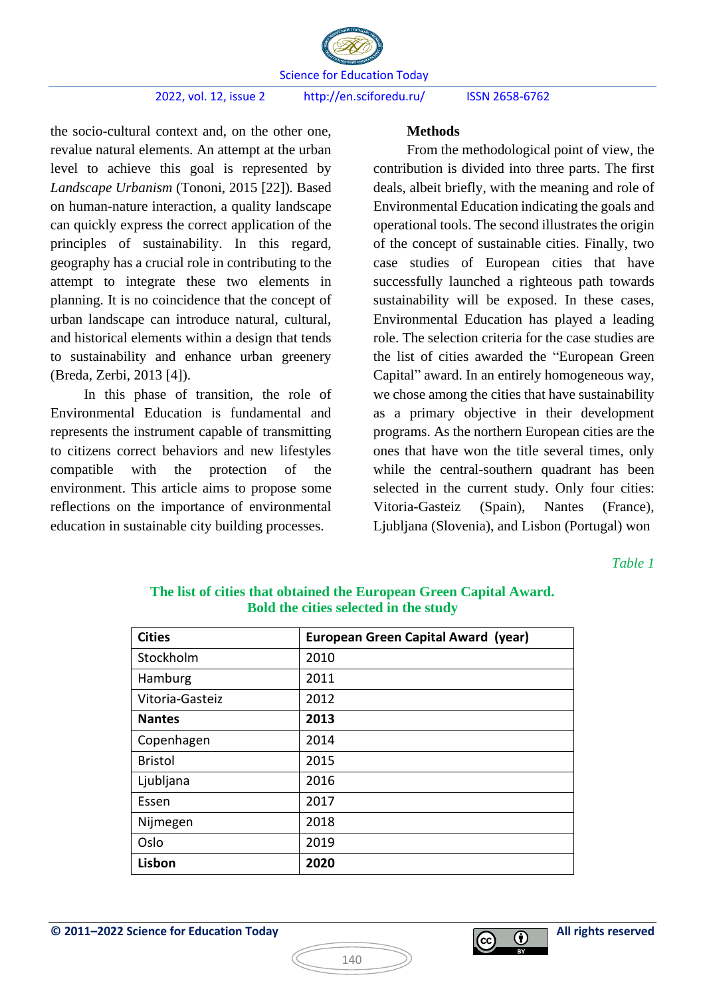

the socio-cultural context and, on the other one, revalue natural elements. An attempt at the urban level to achieve this goal is represented by *Landscape Urbanism* (Tononi, 2015 [22])*.* Based on human-nature interaction, a quality landscape can quickly express the correct application of the principles of sustainability. In this regard, geography has a crucial role in contributing to the attempt to integrate these two elements in planning. It is no coincidence that the concept of urban landscape can introduce natural, cultural, and historical elements within a design that tends to sustainability and enhance urban greenery (Breda, Zerbi, 2013 [4]).

In this phase of transition, the role of Environmental Education is fundamental and represents the instrument capable of transmitting to citizens correct behaviors and new lifestyles compatible with the protection of the environment. This article aims to propose some reflections on the importance of environmental education in sustainable city building processes.

# **Methods**

From the methodological point of view, the contribution is divided into three parts. The first deals, albeit briefly, with the meaning and role of Environmental Education indicating the goals and operational tools. The second illustrates the origin of the concept of sustainable cities. Finally, two case studies of European cities that have successfully launched a righteous path towards sustainability will be exposed. In these cases, Environmental Education has played a leading role. The selection criteria for the case studies are the list of cities awarded the "European Green Capital" award. In an entirely homogeneous way, we chose among the cities that have sustainability as a primary objective in their development programs. As the northern European cities are the ones that have won the title several times, only while the central-southern quadrant has been selected in the current study. Only four cities: Vitoria-Gasteiz (Spain), Nantes (France), Ljubljana (Slovenia), and Lisbon (Portugal) won

*Table 1*

| <b>Cities</b>   | European Green Capital Award (year) |
|-----------------|-------------------------------------|
| Stockholm       | 2010                                |
| Hamburg         | 2011                                |
| Vitoria-Gasteiz | 2012                                |
| <b>Nantes</b>   | 2013                                |
| Copenhagen      | 2014                                |
| <b>Bristol</b>  | 2015                                |
| Ljubljana       | 2016                                |
| Essen           | 2017                                |
| Nijmegen        | 2018                                |
| Oslo            | 2019                                |
| Lisbon          | 2020                                |

140

# **The list of cities that obtained the European Green Capital Award. Bold the cities selected in the study**

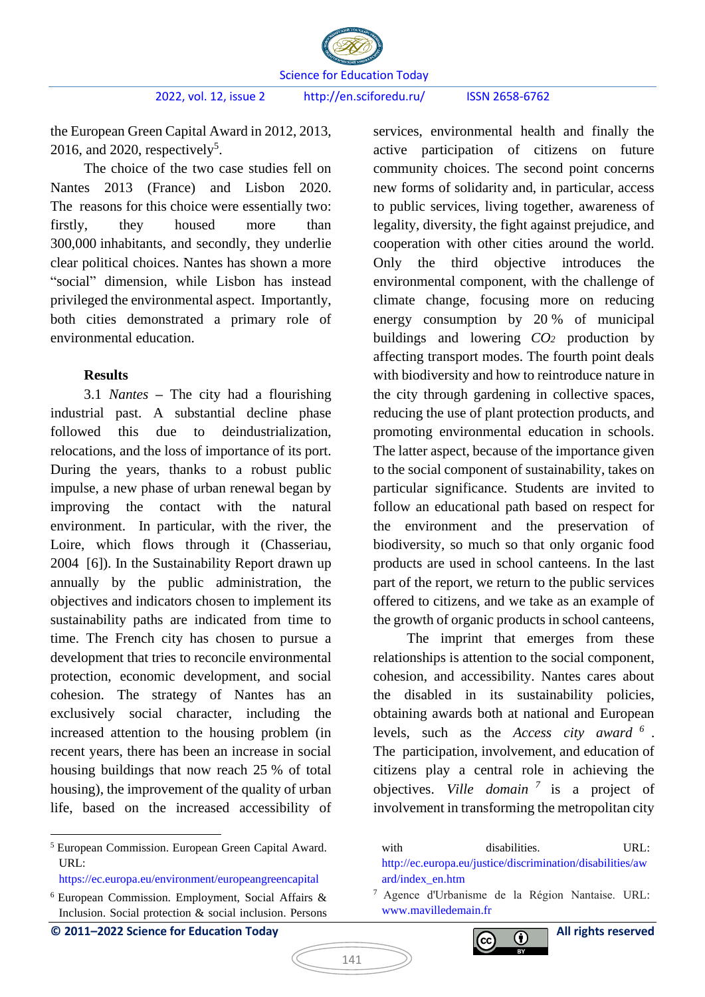

the European Green Capital Award in 2012, 2013, 2016, and 2020, respectively<sup>5</sup>.

The choice of the two case studies fell on Nantes 2013 (France) and Lisbon 2020. The reasons for this choice were essentially two: firstly, they housed more than 300,000 inhabitants, and secondly, they underlie clear political choices. Nantes has shown a more "social" dimension, while Lisbon has instead privileged the environmental aspect. Importantly, both cities demonstrated a primary role of environmental education.

## **Results**

3.1 *Nantes* **–** The city had a flourishing industrial past. A substantial decline phase followed this due to deindustrialization, relocations, and the loss of importance of its port. During the years, thanks to a robust public impulse, a new phase of urban renewal began by improving the contact with the natural environment. In particular, with the river, the Loire, which flows through it (Chasseriau, 2004 [6]). In the Sustainability Report drawn up annually by the public administration, the objectives and indicators chosen to implement its sustainability paths are indicated from time to time. The French city has chosen to pursue a development that tries to reconcile environmental protection, economic development, and social cohesion. The strategy of Nantes has an exclusively social character, including the increased attention to the housing problem (in recent years, there has been an increase in social housing buildings that now reach 25 % of total housing), the improvement of the quality of urban life, based on the increased accessibility of

<sup>5</sup> European Commission. European Green Capital Award. URL:

<https://ec.europa.eu/environment/europeangreencapital>

<sup>6</sup> European Commission. Employment, Social Affairs & Inclusion. Social protection & social inclusion. Persons

**© 2011–2022 Science for Education Today All rights reserved**

services, environmental health and finally the active participation of citizens on future community choices. The second point concerns new forms of solidarity and, in particular, access to public services, living together, awareness of legality, diversity, the fight against prejudice, and cooperation with other cities around the world. Only the third objective introduces the environmental component, with the challenge of climate change, focusing more on reducing energy consumption by 20 % of municipal buildings and lowering *CO<sup>2</sup>* production by affecting transport modes. The fourth point deals with biodiversity and how to reintroduce nature in the city through gardening in collective spaces, reducing the use of plant protection products, and promoting environmental education in schools. The latter aspect, because of the importance given to the social component of sustainability, takes on particular significance. Students are invited to follow an educational path based on respect for the environment and the preservation of biodiversity, so much so that only organic food products are used in school canteens. In the last part of the report, we return to the public services offered to citizens, and we take as an example of the growth of organic products in school canteens,

The imprint that emerges from these relationships is attention to the social component, cohesion, and accessibility. Nantes cares about the disabled in its sustainability policies, obtaining awards both at national and European levels, such as the *Access city award <sup>6</sup>* . The participation, involvement, and education of citizens play a central role in achieving the objectives. *Ville domain <sup>7</sup>* is a project of involvement in transforming the metropolitan city

<sup>7</sup> Agence d'Urbanisme de la Région Nantaise. URL: [www.mavilledemain.fr](http://www.mavilledemain.fr/)





with disabilities. URL: [http://ec.europa.eu/justice/discrimination/disabilities/aw](http://ec.europa.eu/justice/discrimination/disabilities/award/index_en.htm) [ard/index\\_en.htm](http://ec.europa.eu/justice/discrimination/disabilities/award/index_en.htm)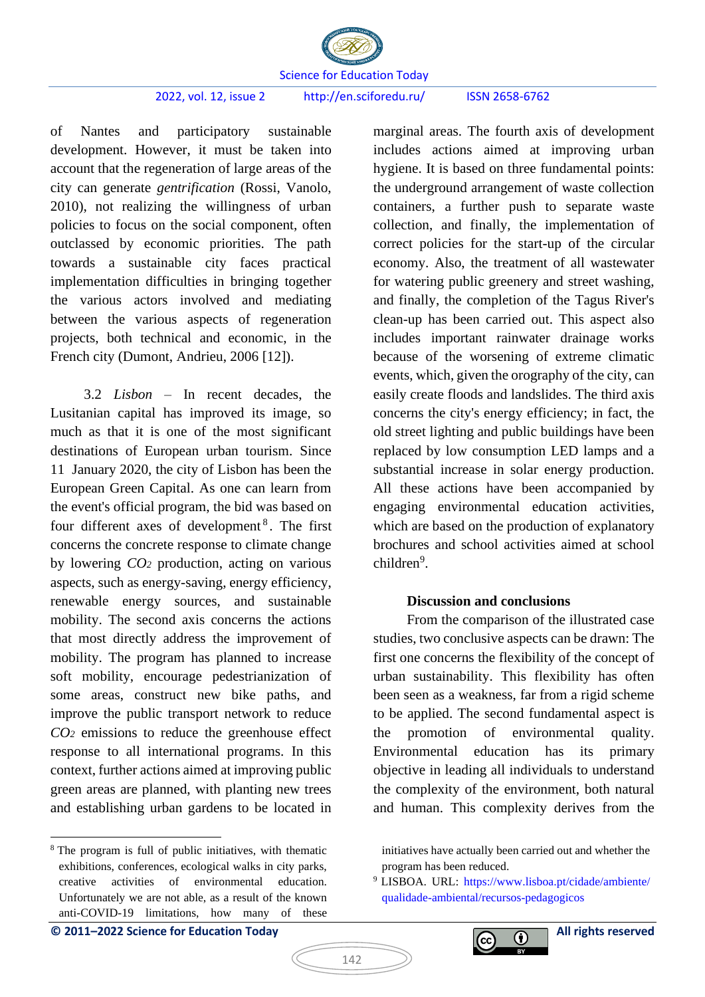

of Nantes and participatory sustainable development. However, it must be taken into account that the regeneration of large areas of the city can generate *gentrification* (Rossi, Vanolo, 2010), not realizing the willingness of urban policies to focus on the social component, often outclassed by economic priorities. The path towards a sustainable city faces practical implementation difficulties in bringing together the various actors involved and mediating between the various aspects of regeneration projects, both technical and economic, in the French city (Dumont, Andrieu, 2006 [12]).

3.2 *Lisbon* – In recent decades, the Lusitanian capital has improved its image, so much as that it is one of the most significant destinations of European urban tourism. Since 11 January 2020, the city of Lisbon has been the European Green Capital. As one can learn from the event's official program, the bid was based on four different axes of development<sup>8</sup>. The first concerns the concrete response to climate change by lowering *CO<sup>2</sup>* production, acting on various aspects, such as energy-saving, energy efficiency, renewable energy sources, and sustainable mobility. The second axis concerns the actions that most directly address the improvement of mobility. The program has planned to increase soft mobility, encourage pedestrianization of some areas, construct new bike paths, and improve the public transport network to reduce *CO<sup>2</sup>* emissions to reduce the greenhouse effect response to all international programs. In this context, further actions aimed at improving public green areas are planned, with planting new trees and establishing urban gardens to be located in

marginal areas. The fourth axis of development includes actions aimed at improving urban hygiene. It is based on three fundamental points: the underground arrangement of waste collection containers, a further push to separate waste collection, and finally, the implementation of correct policies for the start-up of the circular economy. Also, the treatment of all wastewater for watering public greenery and street washing, and finally, the completion of the Tagus River's clean-up has been carried out. This aspect also includes important rainwater drainage works because of the worsening of extreme climatic events, which, given the orography of the city, can easily create floods and landslides. The third axis concerns the city's energy efficiency; in fact, the old street lighting and public buildings have been replaced by low consumption LED lamps and a substantial increase in solar energy production. All these actions have been accompanied by engaging environmental education activities, which are based on the production of explanatory brochures and school activities aimed at school children<sup>9</sup>.

# **Discussion and conclusions**

From the comparison of the illustrated case studies, two conclusive aspects can be drawn: The first one concerns the flexibility of the concept of urban sustainability. This flexibility has often been seen as a weakness, far from a rigid scheme to be applied. The second fundamental aspect is the promotion of environmental quality. Environmental education has its primary objective in leading all individuals to understand the complexity of the environment, both natural and human. This complexity derives from the

<sup>9</sup> LISBOA. URL: [https://www.lisboa.pt/cidade/ambiente/](https://www.lisboa.pt/cidade/ambiente/%20qualidade-ambiental/recursos-pedagogicos) [qualidade-ambiental/recursos-pedagogicos](https://www.lisboa.pt/cidade/ambiente/%20qualidade-ambiental/recursos-pedagogicos)



<sup>8</sup> The program is full of public initiatives, with thematic exhibitions, conferences, ecological walks in city parks, creative activities of environmental education. Unfortunately we are not able, as a result of the known anti-COVID-19 limitations, how many of these

initiatives have actually been carried out and whether the program has been reduced.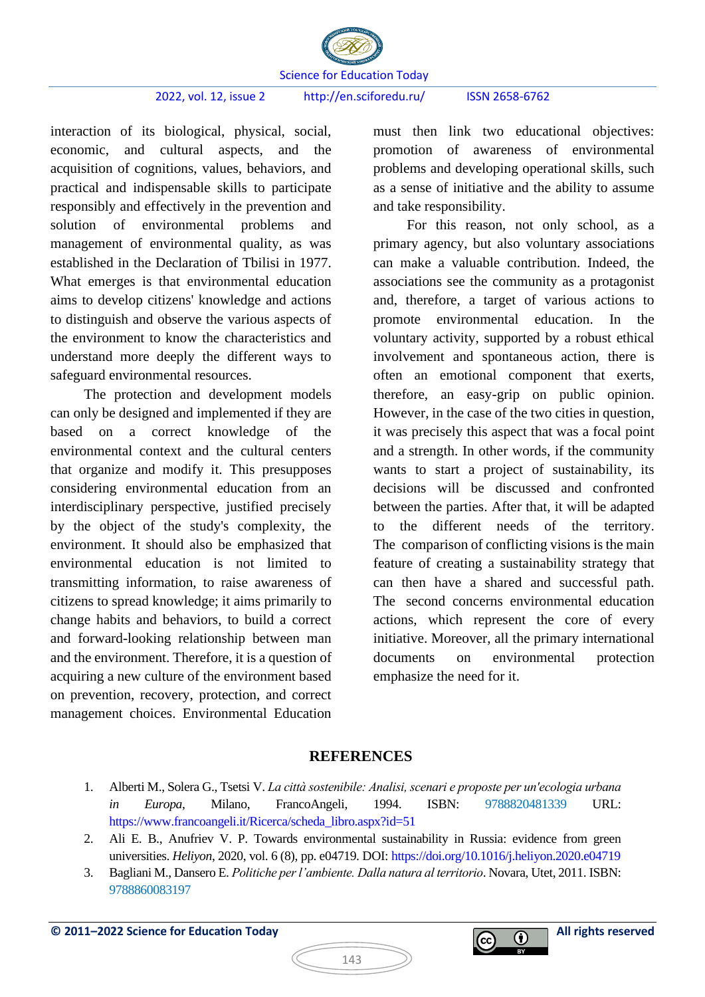

interaction of its biological, physical, social, economic, and cultural aspects, and the acquisition of cognitions, values, behaviors, and practical and indispensable skills to participate responsibly and effectively in the prevention and solution of environmental problems and management of environmental quality, as was established in the Declaration of Tbilisi in 1977. What emerges is that environmental education aims to develop citizens' knowledge and actions to distinguish and observe the various aspects of the environment to know the characteristics and understand more deeply the different ways to safeguard environmental resources.

The protection and development models can only be designed and implemented if they are based on a correct knowledge of the environmental context and the cultural centers that organize and modify it. This presupposes considering environmental education from an interdisciplinary perspective, justified precisely by the object of the study's complexity, the environment. It should also be emphasized that environmental education is not limited to transmitting information, to raise awareness of citizens to spread knowledge; it aims primarily to change habits and behaviors, to build a correct and forward-looking relationship between man and the environment. Therefore, it is a question of acquiring a new culture of the environment based on prevention, recovery, protection, and correct management choices. Environmental Education

must then link two educational objectives: promotion of awareness of environmental problems and developing operational skills, such as a sense of initiative and the ability to assume and take responsibility.

For this reason, not only school, as a primary agency, but also voluntary associations can make a valuable contribution. Indeed, the associations see the community as a protagonist and, therefore, a target of various actions to promote environmental education. In the voluntary activity, supported by a robust ethical involvement and spontaneous action, there is often an emotional component that exerts, therefore, an easy-grip on public opinion. However, in the case of the two cities in question, it was precisely this aspect that was a focal point and a strength. In other words, if the community wants to start a project of sustainability, its decisions will be discussed and confronted between the parties. After that, it will be adapted to the different needs of the territory. The comparison of conflicting visions is the main feature of creating a sustainability strategy that can then have a shared and successful path. The second concerns environmental education actions, which represent the core of every initiative. Moreover, all the primary international documents on environmental protection emphasize the need for it.

# **REFERENCES**

- 1. Alberti M., Solera G., Tsetsi V. *La città sostenibile: Analisi, scenari e proposte per un'ecologia urbana in Europa*, Milano, FrancoAngeli, 1994. ISBN: 9788820481339 URL: [https://www.francoangeli.it/Ricerca/scheda\\_libro.aspx?id=51](https://www.francoangeli.it/Ricerca/scheda_libro.aspx?id=51)
- 2. Ali E. B., Anufriev V. P. Towards environmental sustainability in Russia: evidence from green universities. *Heliyon*, 2020, vol. 6 (8), pp. e04719. DOI[: https://doi.org/10.1016/j.heliyon.2020.e04719](https://doi.org/10.1016/j.heliyon.2020.e04719)
- 3. Bagliani M., Dansero E. *Politiche per l'ambiente. Dalla natura al territorio*. Novara, Utet, 2011. ISBN: 9788860083197

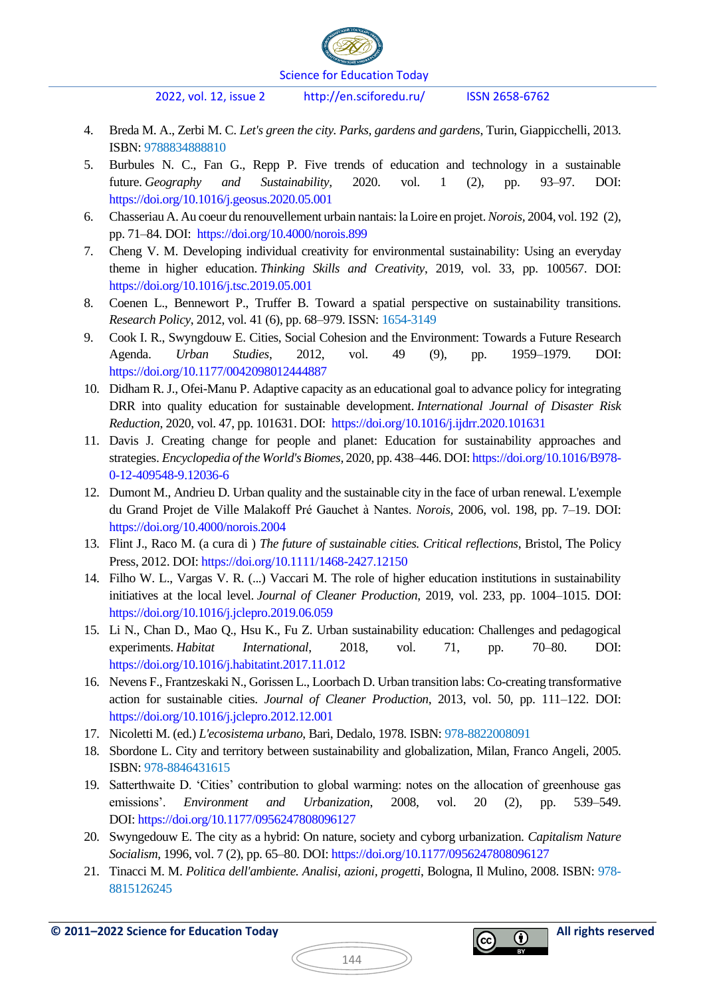

- 4. Breda M. A., Zerbi M. C. *Let's green the city. Parks, gardens and gardens*, Turin, Giappicchelli, 2013. ISBN: 9788834888810
- 5. Burbules N. C., Fan G., Repp P. Five trends of education and technology in a sustainable future. *Geography and Sustainability,* 2020. vol. 1 (2), pp. 93–97. DOI: <https://doi.org/10.1016/j.geosus.2020.05.001>
- 6. Chasseriau A. Au coeur du renouvellement urbain nantais: la Loire en projet. *Norois,* 2004, vol. 192 (2), pp. 71–84. DOI:<https://doi.org/10.4000/norois.899>
- 7. Cheng V. M. Developing individual creativity for environmental sustainability: Using an everyday theme in higher education. *Thinking Skills and Creativity*, 2019, vol. 33, pp. 100567. DOI: <https://doi.org/10.1016/j.tsc.2019.05.001>
- 8. Coenen L., Bennewort P., Truffer B. Toward a spatial perspective on sustainability transitions. *Research Policy*, 2012, vol. 41 (6), pp. 68–979. ISSN: 1654-3149
- 9. Cook I. R., Swyngdouw E. Cities, Social Cohesion and the Environment: Towards a Future Research Agenda. *Urban Studies*, 2012, vol. 49 (9), pp. 1959–1979. DOI: <https://doi.org/10.1177/0042098012444887>
- 10. Didham R. J., Ofei-Manu P. Adaptive capacity as an educational goal to advance policy for integrating DRR into quality education for sustainable development. *International Journal of Disaster Risk Reduction*, 2020, vol. 47, pp. 101631. DOI: <https://doi.org/10.1016/j.ijdrr.2020.101631>
- 11. Davis J. Creating change for people and planet: Education for sustainability approaches and strategies. *Encyclopedia of the World's Biomes,* 2020, pp. 438–446. DOI[: https://doi.org/10.1016/B978-](https://doi.org/10.1016/B978-0-12-409548-9.12036-6) [0-12-409548-9.12036-6](https://doi.org/10.1016/B978-0-12-409548-9.12036-6)
- 12. Dumont M., Andrieu D. Urban quality and the sustainable city in the face of urban renewal. L'exemple du Grand Projet de Ville Malakoff Pré Gauchet à Nantes. *Norois,* 2006, vol. 198, pp. 7–19. DOI: <https://doi.org/10.4000/norois.2004>
- 13. Flint J., Raco M. (a cura di ) *The future of sustainable cities. Critical reflections*, Bristol, The Policy Press, 2012. DOI:<https://doi.org/10.1111/1468-2427.12150>
- 14. Filho W. L., Vargas V. R. (...) Vaccari M. The role of higher education institutions in sustainability initiatives at the local level. *Journal of Cleaner Production*, 2019, vol. 233, pp. 1004–1015. DOI: <https://doi.org/10.1016/j.jclepro.2019.06.059>
- 15. Li N., Chan D., Mao Q., Hsu K., Fu Z. Urban sustainability education: Challenges and pedagogical experiments. *Habitat International*, 2018, vol. 71, pp. 70–80. DOI: <https://doi.org/10.1016/j.habitatint.2017.11.012>
- 16. Nevens F., Frantzeskaki N., Gorissen L., Loorbach D. Urban transition labs: Co-creating transformative action for sustainable cities. *Journal of Cleaner Production*, 2013, vol. 50, pp. 111–122. DOI: <https://doi.org/10.1016/j.jclepro.2012.12.001>
- 17. Nicoletti M. (ed.) *L'ecosistema urbano*, Bari, Dedalo, 1978. ISBN: 978-8822008091
- 18. Sbordone L. City and territory between sustainability and globalization, Milan, Franco Angeli, 2005. ISBN: 978-8846431615
- 19. Satterthwaite D. 'Cities' contribution to global warming: notes on the allocation of greenhouse gas emissions'. *Environment and Urbanization*, 2008, vol. 20 (2), pp. 539–549. DOI: <https://doi.org/10.1177/0956247808096127>
- 20. Swyngedouw E. The city as a hybrid: On nature, society and cyborg urbanization. *Capitalism Nature Socialism*, 1996, vol. 7 (2), pp. 65–80. DOI: <https://doi.org/10.1177/0956247808096127>
- 21. Tinacci M. M. *Politica dell'ambiente. Analisi, azioni, progetti*, Bologna, Il Mulino, 2008. ISBN: 978- 8815126245

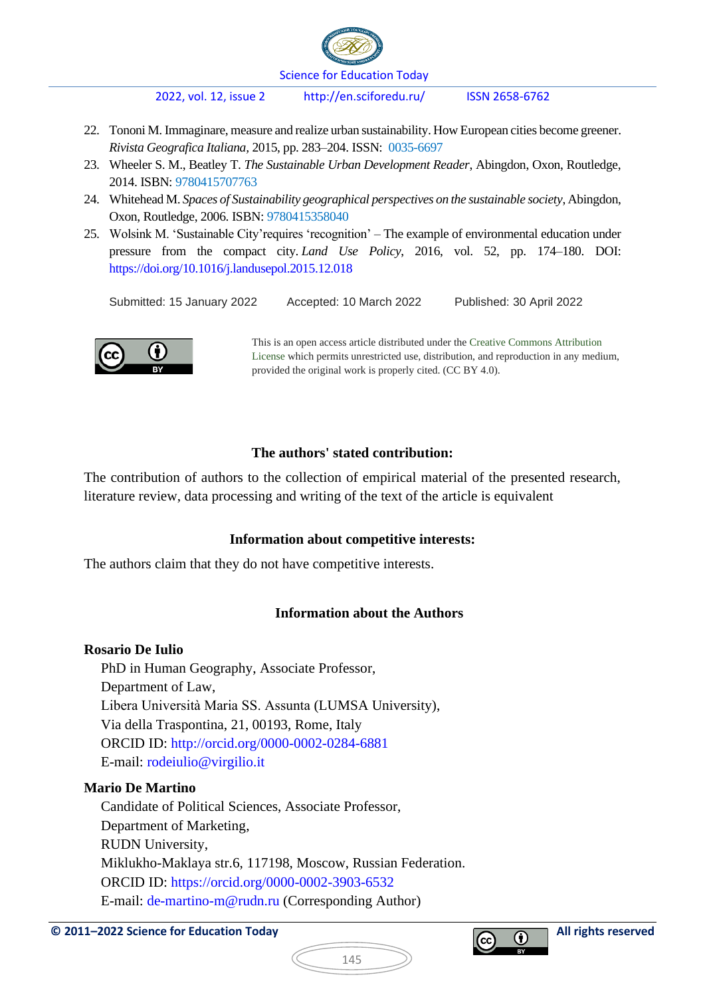

[2022, vol. 12, issue 2](http://en.sciforedu.ru/journal/2022-2) <http://en.sciforedu.ru/>[ISSN 2658-6762](https://portal.issn.org/resource/ISSN/2658-6762)

- 22. Tononi M. Immaginare, measure and realize urban sustainability. How European cities become greener. *Rivista Geografica Italiana,* 2015, pp. 283–204. ISSN: 0035-6697
- 23. Wheeler S. M., Beatley T. *The Sustainable Urban Development Reader*, Abingdon, Oxon, Routledge, 2014. ISBN: 9780415707763
- 24. Whitehead M. *Spaces of Sustainability geographical perspectives on the sustainable society*, Abingdon, Oxon, Routledge, 2006. ISBN: 9780415358040
- 25. Wolsink M. 'Sustainable City'requires 'recognition' The example of environmental education under pressure from the compact city. *Land Use Policy*, 2016, vol. 52, pp. 174–180. DOI: <https://doi.org/10.1016/j.landusepol.2015.12.018>

Submitted: 15 January 2022 Accepted: 10 March 2022 Published: 30 April 2022



This is an open access article distributed under th[e Creative Commons Attribution](https://creativecommons.org/licenses/by-nc-sa/4.0/)  [License](https://creativecommons.org/licenses/by-nc-sa/4.0/) which permits unrestricted use, distribution, and reproduction in any medium, provided the original work is properly cited. (CC BY 4.0).

# **The authors' stated contribution:**

The contribution of authors to the collection of empirical material of the presented research, literature review, data processing and writing of the text of the article is equivalent

# **Information about competitive interests:**

The authors claim that they do not have competitive interests.

# **Information about the Authors**

145

# **Rosario De Iulio**

PhD in Human Geography, Associate Professor, Department of Law, Libera Università Maria SS. Assunta (LUMSA University), Via della Traspontina, 21, 00193, Rome, Italy ORCID ID:<http://orcid.org/0000-0002-0284-6881> E-mail: [rodeiulio@virgilio.it](mailto:rodeiulio@virgilio.it)

# **Mario De Martino**

Candidate of Political Sciences, Associate Professor, Department of Marketing, RUDN University, Miklukho-Maklaya str.6, 117198, Moscow, Russian Federation. ORCID ID:<https://orcid.org/0000-0002-3903-6532> E-mail: [de-martino-m@rudn.ru](mailto:de-martino-m@rudn.ru) (Corresponding Author)

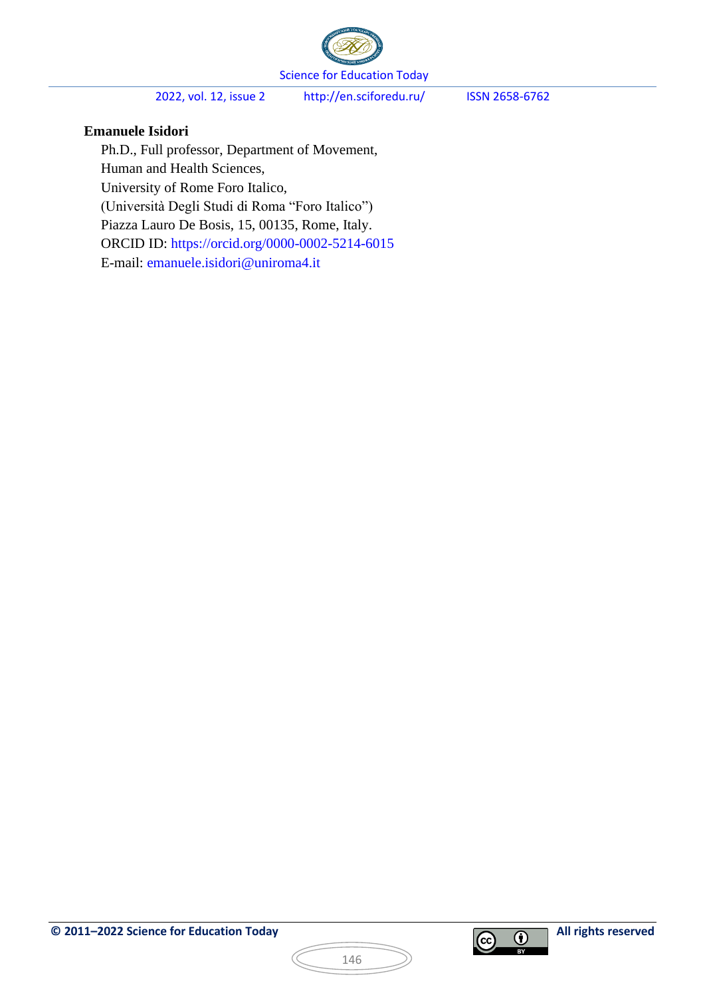

# **Emanuele Isidori**

Ph.D., Full professor, Department of Movement, Human and Health Sciences, University of Rome Foro Italico, (Università Degli Studi di Roma "Foro Italico") Piazza Lauro De Bosis, 15, 00135, Rome, Italy. ORCID ID:<https://orcid.org/0000-0002-5214-6015> E-mail: [emanuele.isidori@uniroma4.it](mailto:emanuele.isidori@uniroma4.it)



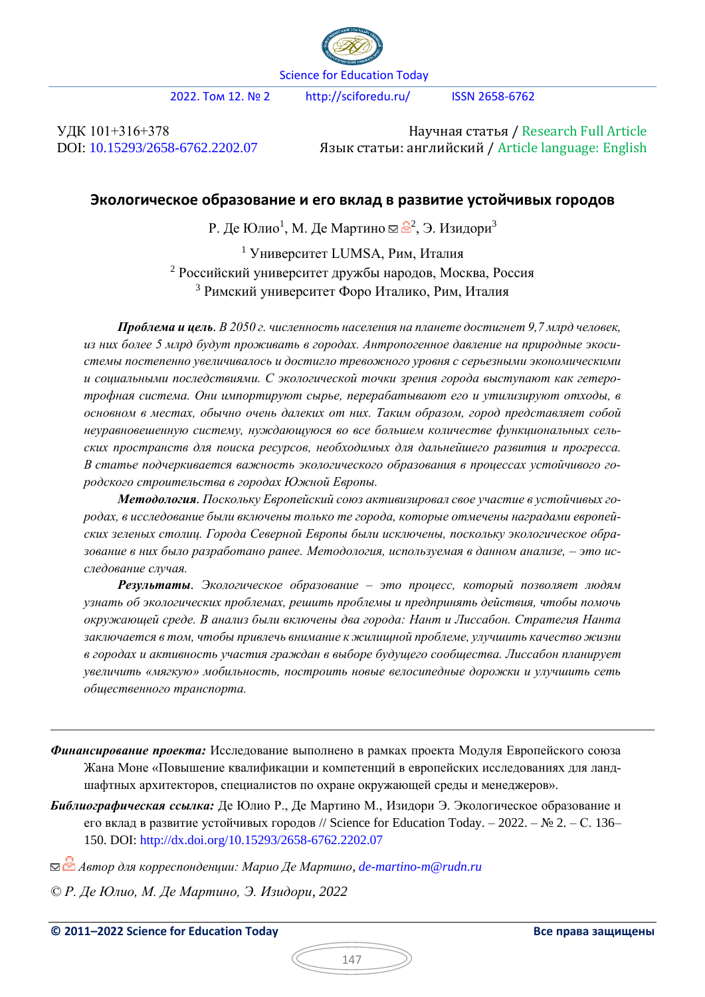

[2022.](http://sciforedu.ru/journal/2022-2) Том 12. № 2 <http://sciforedu.ru/>ISSN [2658-6762](https://portal.issn.org/resource/ISSN/2658-6762)

УДК 101+316+378 DOI: [10.15293/2658-6762.2202.07](http://en.sciforedu.ru/article/5381)

Научная статья / Research Full Article Язык статьи: английский / Article language: English

# **Экологическое образование и его вклад в развитие устойчивых городов**

Р. Де Юлио<sup>1</sup>, М. Де Мартино **⊠ &**<sup>2</sup>, Э. Изидори<sup>3</sup>

<sup>1</sup> Университет LUMSA, Рим, Италия <sup>2</sup> Российский университет дружбы народов, Москва, Россия <sup>3</sup> Римский университет Форо Италико, Рим, Италия

*Проблема и цель. В 2050 г. численность населения на планете достигнет 9,7 млрд человек, из них более 5 млрд будут проживать в городах. Антропогенное давление на природные экосистемы постепенно увеличивалось и достигло тревожного уровня с серьезными экономическими и социальными последствиями. С экологической точки зрения города выступают как гетеротрофная система. Они импортируют сырье, перерабатывают его и утилизируют отходы, в основном в местах, обычно очень далеких от них. Таким образом, город представляет собой неуравновешенную систему, нуждающуюся во все большем количестве функциональных сельских пространств для поиска ресурсов, необходимых для дальнейшего развития и прогресса. В статье подчеркивается важность экологического образования в процессах устойчивого городского строительства в городах Южной Европы.*

*Методология. Поскольку Европейский союз активизировал свое участие в устойчивых городах, в исследование были включены только те города, которые отмечены наградами европейских зеленых столиц. Города Северной Европы были исключены, поскольку экологическое образование в них было разработано ранее. Методология, используемая в данном анализе, – это исследование случая.*

*Результаты. Экологическое образование – это процесс, который позволяет людям узнать об экологических проблемах, решить проблемы и предпринять действия, чтобы помочь окружающей среде. В анализ были включены два города: Нант и Лиссабон. Стратегия Нанта заключается в том, чтобы привлечь внимание к жилищной проблеме, улучшить качество жизни в городах и активность участия граждан в выборе будущего сообщества. Лиссабон планирует увеличить «мягкую» мобильность, построить новые велосипедные дорожки и улучшить сеть общественного транспорта.*

- *Финансирование проекта:* Исследование выполнено в рамках проекта Модуля Европейского союза Жана Моне «Повышение квалификации и компетенций в европейских исследованиях для ландшафтных архитекторов, специалистов по охране окружающей среды и менеджеров».
- *Библиографическая ссылка:* Де Юлио Р., Де Мартино М., Изидори Э. Экологическое образование и его вклад в развитие устойчивых городов // Science for Education Today.  $-2022 - N_2$  2.  $- C$ . 136– 150. DOI: [http://dx.doi.org/10.15293/2658-6762.2202.07](http://en.sciforedu.ru/article/5381)

*Автор для корреспонденции: Марио Де Мартино, [de-martino-m@rudn.ru](mailto:de-martino-m@rudn.ru)*

*© Р. Де Юлио, М. Де Мартино, Э. Изидори, 2022*

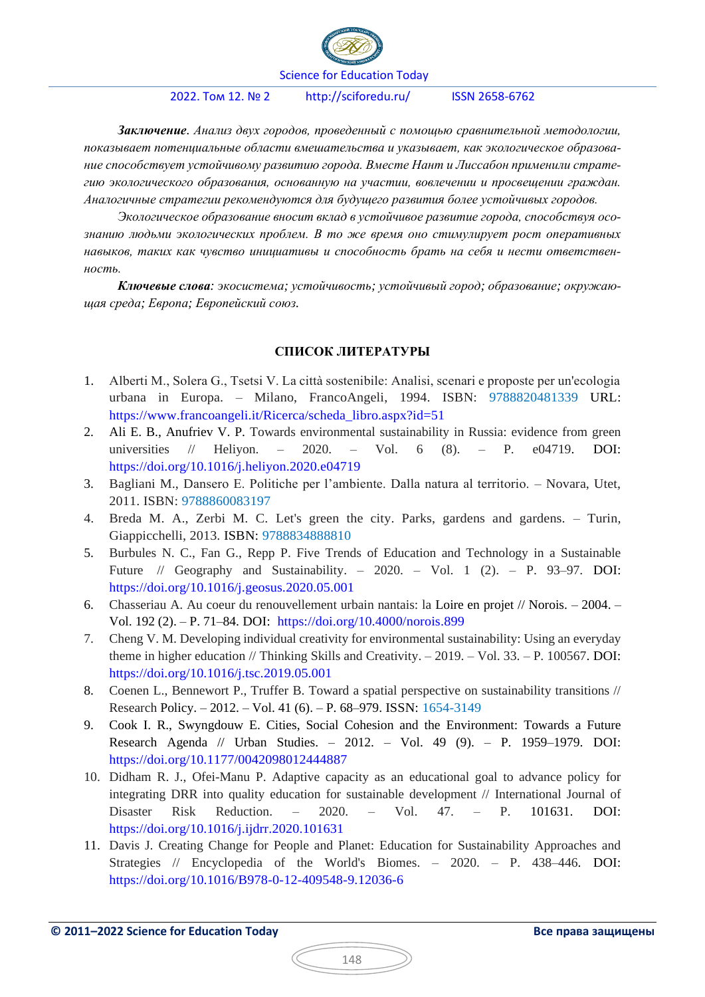

## [2022.](http://sciforedu.ru/journal/2022-2) Том 12. № 2 <http://sciforedu.ru/>ISSN [2658-6762](https://portal.issn.org/resource/ISSN/2658-6762)

*Заключение. Анализ двух городов, проведенный с помощью сравнительной методологии, показывает потенциальные области вмешательства и указывает, как экологическое образование способствует устойчивому развитию города. Вместе Нант и Лиссабон применили стратегию экологического образования, основанную на участии, вовлечении и просвещении граждан. Аналогичные стратегии рекомендуются для будущего развития более устойчивых городов.*

*Экологическое образование вносит вклад в устойчивое развитие города, способствуя осознанию людьми экологических проблем. В то же время оно стимулирует рост оперативных навыков, таких как чувство инициативы и способность брать на себя и нести ответственность.*

*Ключевые слова: экосистема; устойчивость; устойчивый город; образование; окружающая среда; Европа; Европейский союз.*

## **СПИСОК ЛИТЕРАТУРЫ**

- 1. Alberti M., Solera G., Tsetsi V. La città sostenibile: Analisi, scenari e proposte per un'ecologia urbana in Europa. – Milano, FrancoAngeli, 1994. ISBN: 9788820481339 URL: [https://www.francoangeli.it/Ricerca/scheda\\_libro.aspx?id=51](https://www.francoangeli.it/Ricerca/scheda_libro.aspx?id=51)
- 2. Ali E. B., Anufriev V. P. Towards environmental sustainability in Russia: evidence from green universities  $//$  Heliyon. – 2020. – Vol. 6 (8). – P. e04719. DOI: <https://doi.org/10.1016/j.heliyon.2020.e04719>
- 3. Bagliani M., Dansero E. Politiche per l'ambiente. Dalla natura al territorio. Novara, Utet, 2011. ISBN: 9788860083197
- 4. Breda M. A., Zerbi M. C. Let's green the city. Parks, gardens and gardens. Turin, Giappicchelli, 2013. ISBN: 9788834888810
- 5. Burbules N. C., Fan G., Repp P. Five Trends of Education and Technology in a Sustainable Future // Geography and Sustainability. – 2020. – Vol. 1 (2). – P. 93–97. DOI: <https://doi.org/10.1016/j.geosus.2020.05.001>
- 6. Chasseriau A. Au coeur du renouvellement urbain nantais: la Loire en projet // Norois. 2004. Vol. 192 (2). – P. 71–84. DOI: <https://doi.org/10.4000/norois.899>
- 7. Cheng V. M. Developing individual creativity for environmental sustainability: Using an everyday theme in higher education // Thinking Skills and Creativity.  $-2019$ .  $-$  Vol. 33.  $-$  P. 100567. DOI: <https://doi.org/10.1016/j.tsc.2019.05.001>
- 8. Coenen L., Bennewort P., Truffer B. Toward a spatial perspective on sustainability transitions // Research Policy. – 2012. – Vol. 41 (6). – P. 68–979. ISSN: 1654-3149
- 9. Cook I. R., Swyngdouw E. Cities, Social Cohesion and the Environment: Towards a Future Research Agenda // Urban Studies. – 2012. – Vol. 49 (9). – P. 1959–1979. DOI: <https://doi.org/10.1177/0042098012444887>
- 10. Didham R. J., Ofei-Manu P. Adaptive capacity as an educational goal to advance policy for integrating DRR into quality education for sustainable development // International Journal of Disaster Risk Reduction. – 2020. – Vol. 47. – P. 101631. DOI: <https://doi.org/10.1016/j.ijdrr.2020.101631>
- 11. Davis J. Creating Change for People and Planet: Education for Sustainability Approaches and Strategies // Encyclopedia of the World's Biomes. – 2020. – P. 438–446. DOI: <https://doi.org/10.1016/B978-0-12-409548-9.12036-6>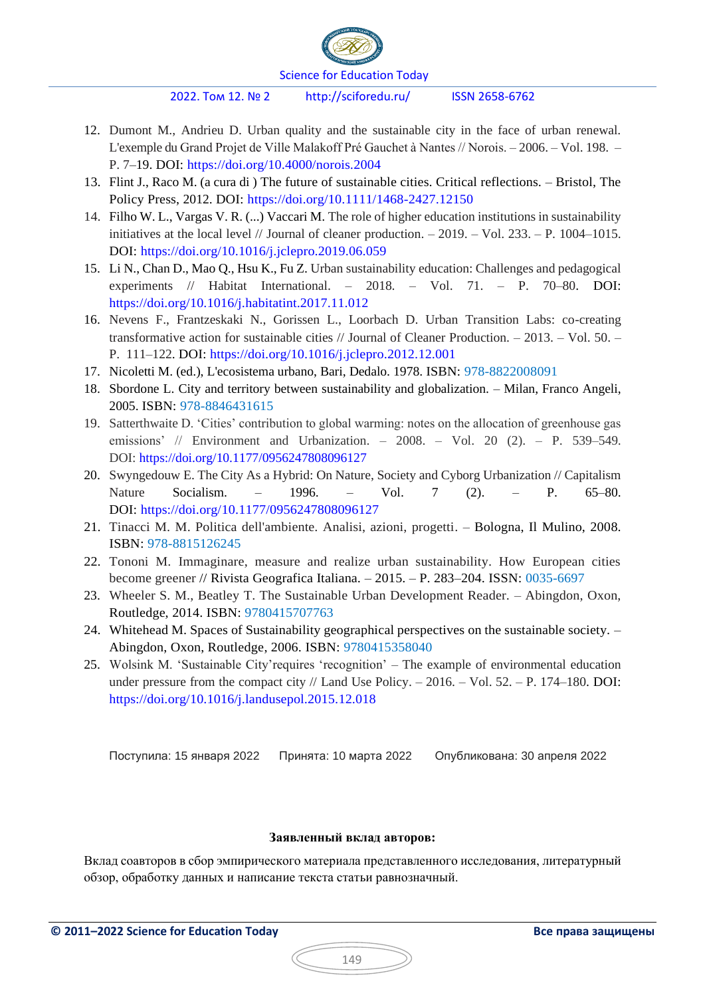

[2022.](http://sciforedu.ru/journal/2022-2) Том 12. № 2 <http://sciforedu.ru/>ISSN [2658-6762](https://portal.issn.org/resource/ISSN/2658-6762)

- 12. Dumont M., Andrieu D. Urban quality and the sustainable city in the face of urban renewal. L'exemple du Grand Projet de Ville Malakoff Pré Gauchet à Nantes // Norois. – 2006. – Vol. 198. – P. 7–19. DOI:<https://doi.org/10.4000/norois.2004>
- 13. Flint J., Raco M. (a cura di ) The future of sustainable cities. Critical reflections. Bristol, The Policy Press, 2012. DOI:<https://doi.org/10.1111/1468-2427.12150>
- 14. Filho W. L., Vargas V. R. (...) Vaccari M. The role of higher education institutions in sustainability initiatives at the local level  $\frac{1}{10}$  Journal of cleaner production.  $-2019$ .  $-$  Vol. 233.  $-$  P. 1004–1015. DOI:<https://doi.org/10.1016/j.jclepro.2019.06.059>
- 15. Li N., Chan D., Mao Q., Hsu K., Fu Z. Urban sustainability education: Challenges and pedagogical experiments // Habitat International. – 2018. – Vol. 71. – P. 70–80. DOI: <https://doi.org/10.1016/j.habitatint.2017.11.012>
- 16. Nevens F., Frantzeskaki N., Gorissen L., Loorbach D. Urban Transition Labs: co-creating transformative action for sustainable cities // Journal of Cleaner Production. – 2013. – Vol. 50. – P. 111–122. DOI:<https://doi.org/10.1016/j.jclepro.2012.12.001>
- 17. Nicoletti M. (ed.), L'ecosistema urbano, Bari, Dedalo. 1978. ISBN: 978-8822008091
- 18. Sbordone L. City and territory between sustainability and globalization. Milan, Franco Angeli, 2005. ISBN: 978-8846431615
- 19. Satterthwaite D. 'Cities' contribution to global warming: notes on the allocation of greenhouse gas emissions' // Environment and Urbanization. – 2008. – Vol. 20 (2). – P. 539–549. DOI: <https://doi.org/10.1177/0956247808096127>
- 20. Swyngedouw E. The City As a Hybrid: On Nature, Society and Cyborg Urbanization // Capitalism Nature Socialism. – 1996. – Vol. 7 (2). – P. 65–80. DOI: <https://doi.org/10.1177/0956247808096127>
- 21. Tinacci M. M. Politica dell'ambiente. Analisi, azioni, progetti. Bologna, Il Mulino, 2008. ISBN: 978-8815126245
- 22. Tononi M. Immaginare, measure and realize urban sustainability. How European cities become greener // Rivista Geografica Italiana. – 2015. – P. 283–204. ISSN: 0035-6697
- 23. Wheeler S. M., Beatley T. The Sustainable Urban Development Reader. Abingdon, Oxon, Routledge, 2014. ISBN: 9780415707763
- 24. Whitehead M. Spaces of Sustainability geographical perspectives on the sustainable society. Abingdon, Oxon, Routledge, 2006. ISBN: 9780415358040
- 25. Wolsink M. 'Sustainable City'requires 'recognition' The example of environmental education under pressure from the compact city  $//$  Land Use Policy.  $- 2016$ .  $- Vol. 52$ .  $- P. 174-180$ . DOI: <https://doi.org/10.1016/j.landusepol.2015.12.018>

Поступила: 15 января 2022 Принята: 10 марта 2022 Опубликована: 30 апреля 2022

## **Заявленный вклад авторов:**

Вклад соавторов в сбор эмпирического материала представленного исследования, литературный обзор, обработку данных и написание текста статьи равнозначный.